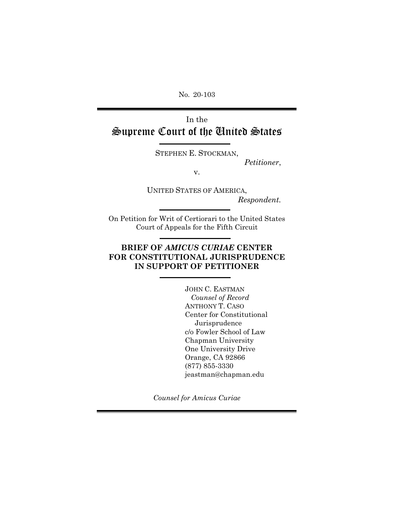No. 20-103

# In the Supreme Court of the United States

STEPHEN E. STOCKMAN,

*Petitioner*,

v.

UNITED STATES OF AMERICA, *Respondent.*

On Petition for Writ of Certiorari to the United States Court of Appeals for the Fifth Circuit

### **BRIEF OF** *AMICUS CURIAE* **CENTER FOR CONSTITUTIONAL JURISPRUDENCE IN SUPPORT OF PETITIONER**

JOHN C. EASTMAN  *Counsel of Record* ANTHONY T. CASO Center for Constitutional Jurisprudence c/o Fowler School of Law Chapman University One University Drive Orange, CA 92866 (877) 855-3330 jeastman@chapman.edu

*Counsel for Amicus Curiae*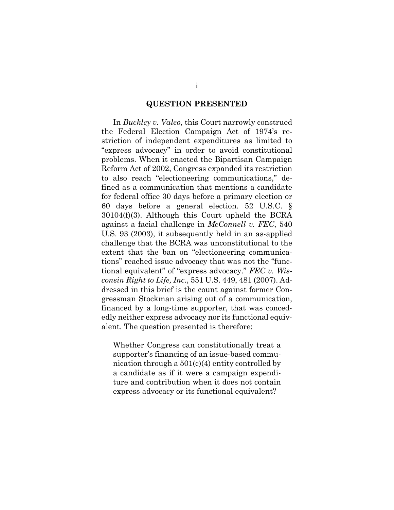### **QUESTION PRESENTED**

<span id="page-1-0"></span>In *Buckley v. Valeo*, this Court narrowly construed the Federal Election Campaign Act of 1974's restriction of independent expenditures as limited to "express advocacy" in order to avoid constitutional problems. When it enacted the Bipartisan Campaign Reform Act of 2002, Congress expanded its restriction to also reach "electioneering communications," defined as a communication that mentions a candidate for federal office 30 days before a primary election or 60 days before a general election. 52 U.S.C. § 30104(f)(3). Although this Court upheld the BCRA against a facial challenge in *McConnell v. FEC*, 540 U.S. 93 (2003), it subsequently held in an as-applied challenge that the BCRA was unconstitutional to the extent that the ban on "electioneering communications" reached issue advocacy that was not the "functional equivalent" of "express advocacy." *FEC v. Wisconsin Right to Life, Inc.*, 551 U.S. 449, 481 (2007). Addressed in this brief is the count against former Congressman Stockman arising out of a communication, financed by a long-time supporter, that was concededly neither express advocacy nor its functional equivalent. The question presented is therefore:

Whether Congress can constitutionally treat a supporter's financing of an issue-based communication through a 501(c)(4) entity controlled by a candidate as if it were a campaign expenditure and contribution when it does not contain express advocacy or its functional equivalent?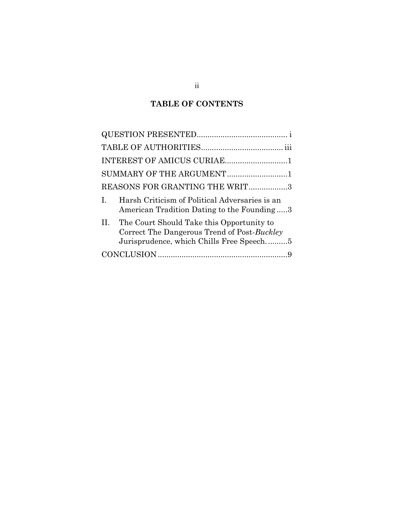## **TABLE OF CONTENTS**

|    | INTEREST OF AMICUS CURIAE1                                                                                                           |  |
|----|--------------------------------------------------------------------------------------------------------------------------------------|--|
|    | SUMMARY OF THE ARGUMENT1                                                                                                             |  |
|    | REASONS FOR GRANTING THE WRIT3                                                                                                       |  |
| L. | Harsh Criticism of Political Adversaries is an<br>American Tradition Dating to the Founding3                                         |  |
| H. | The Court Should Take this Opportunity to<br>Correct The Dangerous Trend of Post-Buckley<br>Jurisprudence, which Chills Free Speech5 |  |
|    |                                                                                                                                      |  |
|    |                                                                                                                                      |  |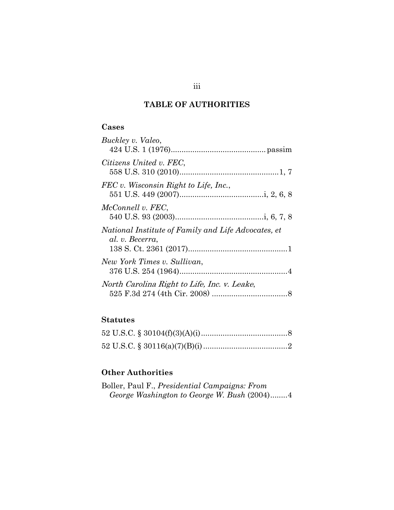## **TABLE OF AUTHORITIES**

## <span id="page-3-0"></span>**Cases**

| Buckley v. Valeo,                                                      |  |
|------------------------------------------------------------------------|--|
| Citizens United v. FEC,                                                |  |
| FEC v. Wisconsin Right to Life, Inc.,                                  |  |
| McConnell v. FEC,                                                      |  |
| National Institute of Family and Life Advocates, et<br>al. v. Becerra, |  |
| New York Times v. Sullivan,                                            |  |
| North Carolina Right to Life, Inc. v. Leake,                           |  |

## **Statutes**

## **Other Authorities**

| Boller, Paul F., <i>Presidential Campaigns: From</i> |  |  |
|------------------------------------------------------|--|--|
| George Washington to George W. Bush (2004)4          |  |  |

## iii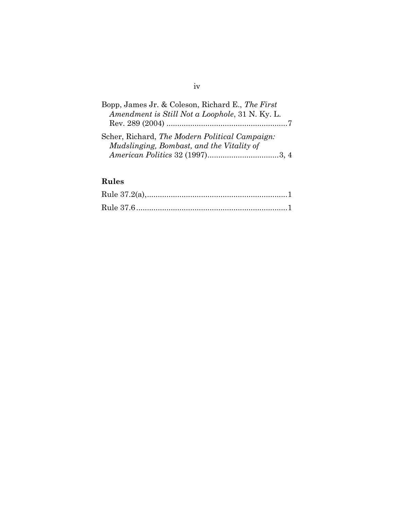## Bopp, James Jr. & Coleson, Richard E., *The First Amendment is Still Not a Loophole*, 31 N. Ky. L. Rev. 289 (2004) ........................................................7 Scher, Richard, *The Modern Political Campaign: Mudslinging, Bombast, and the Vitality of American Politics* 32 (1997).................................3, 4

## **Rules**

#### iv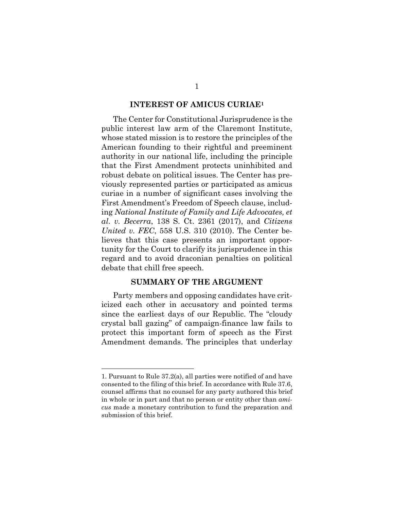#### **INTEREST OF AMICUS CURIAE<sup>1</sup>**

<span id="page-5-0"></span>The Center for Constitutional Jurisprudence is the public interest law arm of the Claremont Institute, whose stated mission is to restore the principles of the American founding to their rightful and preeminent authority in our national life, including the principle that the First Amendment protects uninhibited and robust debate on political issues. The Center has previously represented parties or participated as amicus curiae in a number of significant cases involving the First Amendment's Freedom of Speech clause, including *National Institute of Family and Life Advocates, et al. v. Becerra*, 138 S. Ct. 2361 (2017), and *Citizens United v. FEC*, 558 U.S. 310 (2010). The Center believes that this case presents an important opportunity for the Court to clarify its jurisprudence in this regard and to avoid draconian penalties on political debate that chill free speech.

#### **SUMMARY OF THE ARGUMENT**

<span id="page-5-1"></span>Party members and opposing candidates have criticized each other in accusatory and pointed terms since the earliest days of our Republic. The "cloudy crystal ball gazing" of campaign-finance law fails to protect this important form of speech as the First Amendment demands. The principles that underlay

<sup>1.</sup> Pursuant to Rule 37.2(a), all parties were notified of and have consented to the filing of this brief. In accordance with Rule 37.6, counsel affirms that no counsel for any party authored this brief in whole or in part and that no person or entity other than *amicus* made a monetary contribution to fund the preparation and submission of this brief.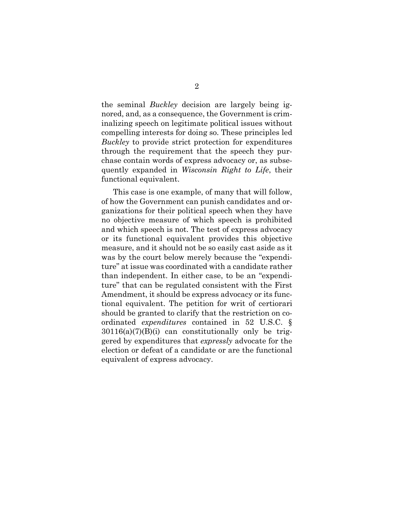the seminal *Buckley* decision are largely being ignored, and, as a consequence, the Government is criminalizing speech on legitimate political issues without compelling interests for doing so. These principles led *Buckley* to provide strict protection for expenditures through the requirement that the speech they purchase contain words of express advocacy or, as subsequently expanded in *Wisconsin Right to Life*, their functional equivalent.

This case is one example, of many that will follow, of how the Government can punish candidates and organizations for their political speech when they have no objective measure of which speech is prohibited and which speech is not. The test of express advocacy or its functional equivalent provides this objective measure, and it should not be so easily cast aside as it was by the court below merely because the "expenditure" at issue was coordinated with a candidate rather than independent. In either case, to be an "expenditure" that can be regulated consistent with the First Amendment, it should be express advocacy or its functional equivalent. The petition for writ of certiorari should be granted to clarify that the restriction on coordinated *expenditures* contained in 52 U.S.C. §  $30116(a)(7)(B)(i)$  can constitutionally only be triggered by expenditures that *expressly* advocate for the election or defeat of a candidate or are the functional equivalent of express advocacy.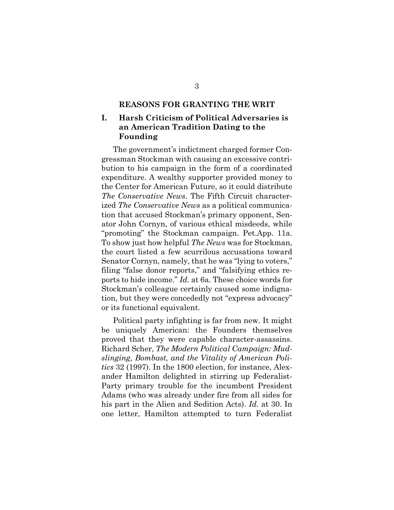### **REASONS FOR GRANTING THE WRIT**

### <span id="page-7-1"></span><span id="page-7-0"></span>**I. Harsh Criticism of Political Adversaries is an American Tradition Dating to the Founding**

The government's indictment charged former Congressman Stockman with causing an excessive contribution to his campaign in the form of a coordinated expenditure. A wealthy supporter provided money to the Center for American Future, so it could distribute *The Conservative News*. The Fifth Circuit characterized *The Conservative News* as a political communication that accused Stockman's primary opponent, Senator John Cornyn, of various ethical misdeeds, while "promoting" the Stockman campaign. Pet.App. 11a. To show just how helpful *The News* was for Stockman, the court listed a few scurrilous accusations toward Senator Cornyn, namely, that he was "lying to voters," filing "false donor reports," and "falsifying ethics reports to hide income." *Id.* at 6a. These choice words for Stockman's colleague certainly caused some indignation, but they were concededly not "express advocacy" or its functional equivalent.

Political party infighting is far from new. It might be uniquely American: the Founders themselves proved that they were capable character-assassins. Richard Scher, *The Modern Political Campaign: Mudslinging, Bombast, and the Vitality of American Politics* 32 (1997). In the 1800 election, for instance, Alexander Hamilton delighted in stirring up Federalist-Party primary trouble for the incumbent President Adams (who was already under fire from all sides for his part in the Alien and Sedition Acts). *Id.* at 30. In one letter, Hamilton attempted to turn Federalist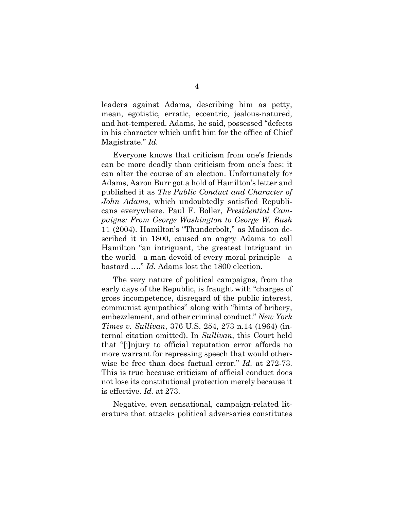leaders against Adams, describing him as petty, mean, egotistic, erratic, eccentric, jealous-natured, and hot-tempered. Adams, he said, possessed "defects in his character which unfit him for the office of Chief Magistrate." *Id.*

Everyone knows that criticism from one's friends can be more deadly than criticism from one's foes: it can alter the course of an election. Unfortunately for Adams, Aaron Burr got a hold of Hamilton's letter and published it as *The Public Conduct and Character of John Adams*, which undoubtedly satisfied Republicans everywhere. Paul F. Boller, *Presidential Campaigns: From George Washington to George W. Bush* 11 (2004). Hamilton's "Thunderbolt," as Madison described it in 1800, caused an angry Adams to call Hamilton "an intriguant, the greatest intriguant in the world—a man devoid of every moral principle—a bastard …." *Id.* Adams lost the 1800 election.

The very nature of political campaigns, from the early days of the Republic, is fraught with "charges of gross incompetence, disregard of the public interest, communist sympathies" along with "hints of bribery, embezzlement, and other criminal conduct." *New York Times v. Sullivan*, 376 U.S. 254, 273 n.14 (1964) (internal citation omitted). In *Sullivan*, this Court held that "[i]njury to official reputation error affords no more warrant for repressing speech that would otherwise be free than does factual error." *Id.* at 272-73. This is true because criticism of official conduct does not lose its constitutional protection merely because it is effective. *Id.* at 273.

Negative, even sensational, campaign-related literature that attacks political adversaries constitutes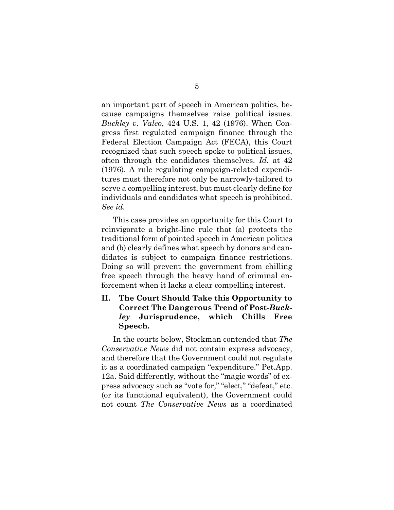an important part of speech in American politics, because campaigns themselves raise political issues. *Buckley v. Valeo*, 424 U.S. 1, 42 (1976). When Congress first regulated campaign finance through the Federal Election Campaign Act (FECA), this Court recognized that such speech spoke to political issues, often through the candidates themselves. *Id.* at 42 (1976). A rule regulating campaign-related expenditures must therefore not only be narrowly-tailored to serve a compelling interest, but must clearly define for individuals and candidates what speech is prohibited. *See id.*

This case provides an opportunity for this Court to reinvigorate a bright-line rule that (a) protects the traditional form of pointed speech in American politics and (b) clearly defines what speech by donors and candidates is subject to campaign finance restrictions. Doing so will prevent the government from chilling free speech through the heavy hand of criminal enforcement when it lacks a clear compelling interest.

### <span id="page-9-0"></span>**II. The Court Should Take this Opportunity to Correct The Dangerous Trend of Post-***Buckley* **Jurisprudence, which Chills Free Speech.**

In the courts below, Stockman contended that *The Conservative News* did not contain express advocacy, and therefore that the Government could not regulate it as a coordinated campaign "expenditure." Pet.App. 12a. Said differently, without the "magic words" of express advocacy such as "vote for," "elect," "defeat," etc. (or its functional equivalent), the Government could not count *The Conservative News* as a coordinated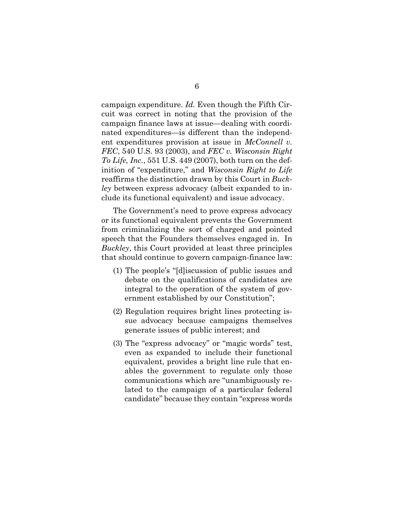campaign expenditure. *Id.* Even though the Fifth Circuit was correct in noting that the provision of the campaign finance laws at issue—dealing with coordinated expenditures—is different than the independent expenditures provision at issue in *McConnell v. FEC*, 540 U.S. 93 (2003), and *FEC v. Wisconsin Right To Life, Inc.*, 551 U.S. 449 (2007), both turn on the definition of "expenditure," and *Wisconsin Right to Life* reaffirms the distinction drawn by this Court in *Buckley* between express advocacy (albeit expanded to include its functional equivalent) and issue advocacy.

The Government's need to prove express advocacy or its functional equivalent prevents the Government from criminalizing the sort of charged and pointed speech that the Founders themselves engaged in. In *Buckley*, this Court provided at least three principles that should continue to govern campaign-finance law:

- (1) The people's "[d]iscussion of public issues and debate on the qualifications of candidates are integral to the operation of the system of government established by our Constitution";
- (2) Regulation requires bright lines protecting issue advocacy because campaigns themselves generate issues of public interest; and
- (3) The "express advocacy" or "magic words" test, even as expanded to include their functional equivalent, provides a bright line rule that enables the government to regulate only those communications which are "unambiguously related to the campaign of a particular federal candidate" because they contain "express words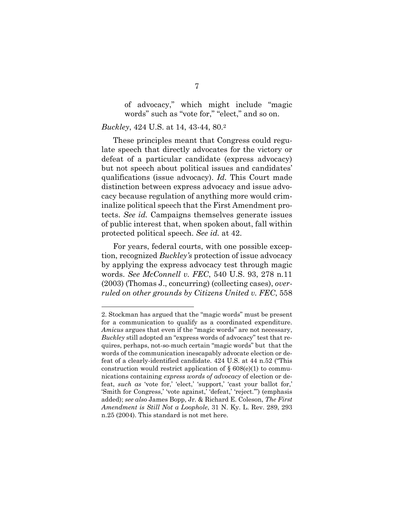of advocacy," which might include "magic words" such as "vote for," "elect," and so on.

#### *Buckley*, 424 U.S. at 14, 43-44, 80.<sup>2</sup>

These principles meant that Congress could regulate speech that directly advocates for the victory or defeat of a particular candidate (express advocacy) but not speech about political issues and candidates' qualifications (issue advocacy). *Id.* This Court made distinction between express advocacy and issue advocacy because regulation of anything more would criminalize political speech that the First Amendment protects. *See id.* Campaigns themselves generate issues of public interest that, when spoken about, fall within protected political speech. *See id.* at 42.

For years, federal courts, with one possible exception, recognized *Buckley's* protection of issue advocacy by applying the express advocacy test through magic words. *See McConnell v. FEC*, 540 U.S. 93, 278 n.11 (2003) (Thomas J., concurring) (collecting cases), *overruled on other grounds by Citizens United v. FEC*, 558

<sup>2.</sup> Stockman has argued that the "magic words" must be present for a communication to qualify as a coordinated expenditure. *Amicus* argues that even if the "magic words" are not necessary, *Buckley* still adopted an "express words of advocacy" test that requires, perhaps, not-so-much certain "magic words" but that the words of the communication inescapably advocate election or defeat of a clearly-identified candidate. 424 U.S. at 44 n.52 ("This construction would restrict application of  $\S 608(e)(1)$  to communications containing *express words of advocacy* of election or defeat, *such as* 'vote for,' 'elect,' 'support,' 'cast your ballot for,' 'Smith for Congress,' 'vote against,' 'defeat,' 'reject.'") (emphasis added); *see also* James Bopp, Jr. & Richard E. Coleson, *The First Amendment is Still Not a Loophole*, 31 N. Ky. L. Rev. 289, 293 n.25 (2004). This standard is not met here.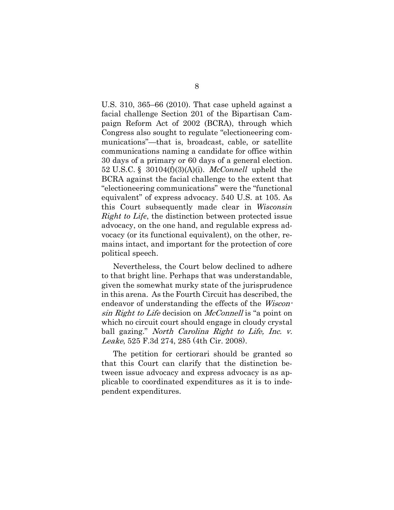U.S. 310, 365–66 (2010). That case upheld against a facial challenge Section 201 of the Bipartisan Campaign Reform Act of 2002 (BCRA), through which Congress also sought to regulate "electioneering communications"—that is, broadcast, cable, or satellite communications naming a candidate for office within 30 days of a primary or 60 days of a general election. 52 U.S.C. § 30104(f)(3)(A)(i). *McConnell* upheld the BCRA against the facial challenge to the extent that "electioneering communications" were the "functional equivalent" of express advocacy. 540 U.S. at 105. As this Court subsequently made clear in *Wisconsin Right to Life*, the distinction between protected issue advocacy, on the one hand, and regulable express advocacy (or its functional equivalent), on the other, remains intact, and important for the protection of core political speech.

Nevertheless, the Court below declined to adhere to that bright line. Perhaps that was understandable, given the somewhat murky state of the jurisprudence in this arena. As the Fourth Circuit has described, the endeavor of understanding the effects of the *Wiscon*sin Right to Life decision on McConnell is "a point on which no circuit court should engage in cloudy crystal ball gazing." North Carolina Right to Life, Inc. v. Leake, 525 F.3d 274, 285 (4th Cir. 2008).

The petition for certiorari should be granted so that this Court can clarify that the distinction between issue advocacy and express advocacy is as applicable to coordinated expenditures as it is to independent expenditures.